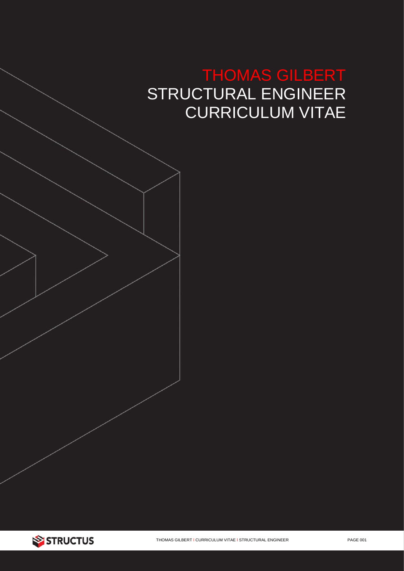# THOMAS GILBERT STRUCTURAL ENGINEER CURRICULUM VITAE

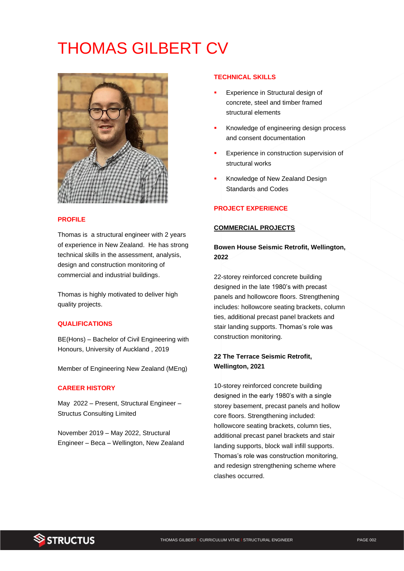# THOMAS GILBERT CV



### **PROFILE**

Thomas is a structural engineer with 2 years of experience in New Zealand. He has strong technical skills in the assessment, analysis, design and construction monitoring of commercial and industrial buildings.

Thomas is highly motivated to deliver high quality projects.

## **QUALIFICATIONS**

BE(Hons) – Bachelor of Civil Engineering with Honours, University of Auckland , 2019

Member of Engineering New Zealand (MEng)

#### **CAREER HISTORY**

May 2022 – Present, Structural Engineer – Structus Consulting Limited

November 2019 – May 2022, Structural Engineer – Beca – Wellington, New Zealand

#### **TECHNICAL SKILLS**

- Experience in Structural design of concrete, steel and timber framed structural elements
- Knowledge of engineering design process and consent documentation
- Experience in construction supervision of structural works
- Knowledge of New Zealand Design Standards and Codes

## **PROJECT EXPERIENCE**

#### **COMMERCIAL PROJECTS**

**Bowen House Seismic Retrofit, Wellington, 2022**

22-storey reinforced concrete building designed in the late 1980's with precast panels and hollowcore floors. Strengthening includes: hollowcore seating brackets, column ties, additional precast panel brackets and stair landing supports. Thomas's role was construction monitoring.

## **22 The Terrace Seismic Retrofit, Wellington, 2021**

10-storey reinforced concrete building designed in the early 1980's with a single storey basement, precast panels and hollow core floors. Strengthening included: hollowcore seating brackets, column ties, additional precast panel brackets and stair landing supports, block wall infill supports. Thomas's role was construction monitoring, and redesign strengthening scheme where clashes occurred.

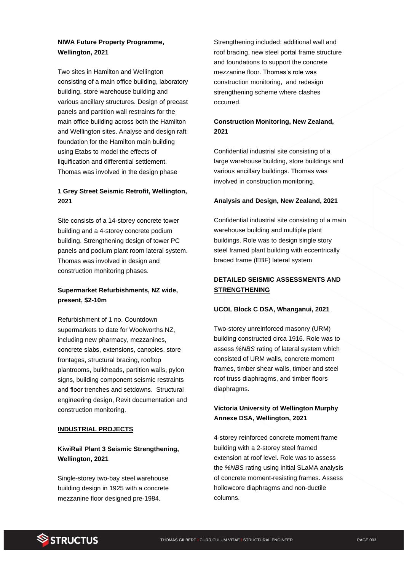# **NIWA Future Property Programme, Wellington, 2021**

Two sites in Hamilton and Wellington consisting of a main office building, laboratory building, store warehouse building and various ancillary structures. Design of precast panels and partition wall restraints for the main office building across both the Hamilton and Wellington sites. Analyse and design raft foundation for the Hamilton main building using Etabs to model the effects of liquification and differential settlement. Thomas was involved in the design phase

# **1 Grey Street Seismic Retrofit, Wellington, 2021**

Site consists of a 14-storey concrete tower building and a 4-storey concrete podium building. Strengthening design of tower PC panels and podium plant room lateral system. Thomas was involved in design and construction monitoring phases.

## **Supermarket Refurbishments, NZ wide, present, \$2-10m**

Refurbishment of 1 no. Countdown supermarkets to date for Woolworths NZ, including new pharmacy, mezzanines, concrete slabs, extensions, canopies, store frontages, structural bracing, rooftop plantrooms, bulkheads, partition walls, pylon signs, building component seismic restraints and floor trenches and setdowns. Structural engineering design, Revit documentation and construction monitoring.

### **INDUSTRIAL PROJECTS**

# **KiwiRail Plant 3 Seismic Strengthening, Wellington, 2021**

Single-storey two-bay steel warehouse building design in 1925 with a concrete mezzanine floor designed pre-1984.

Strengthening included: additional wall and roof bracing, new steel portal frame structure and foundations to support the concrete mezzanine floor. Thomas's role was construction monitoring, and redesign strengthening scheme where clashes occurred.

## **Construction Monitoring, New Zealand, 2021**

Confidential industrial site consisting of a large warehouse building, store buildings and various ancillary buildings. Thomas was involved in construction monitoring.

## **Analysis and Design, New Zealand, 2021**

Confidential industrial site consisting of a main warehouse building and multiple plant buildings. Role was to design single story steel framed plant building with eccentrically braced frame (EBF) lateral system

## **DETAILED SEISMIC ASSESSMENTS AND STRENGTHENING**

### **UCOL Block C DSA, Whanganui, 2021**

Two-storey unreinforced masonry (URM) building constructed circa 1916. Role was to assess *%NBS* rating of lateral system which consisted of URM walls, concrete moment frames, timber shear walls, timber and steel roof truss diaphragms, and timber floors diaphragms.

# **Victoria University of Wellington Murphy Annexe DSA, Wellington, 2021**

4-storey reinforced concrete moment frame building with a 2-storey steel framed extension at roof level. Role was to assess the *%NBS* rating using initial SLaMA analysis of concrete moment-resisting frames. Assess hollowcore diaphragms and non-ductile columns.